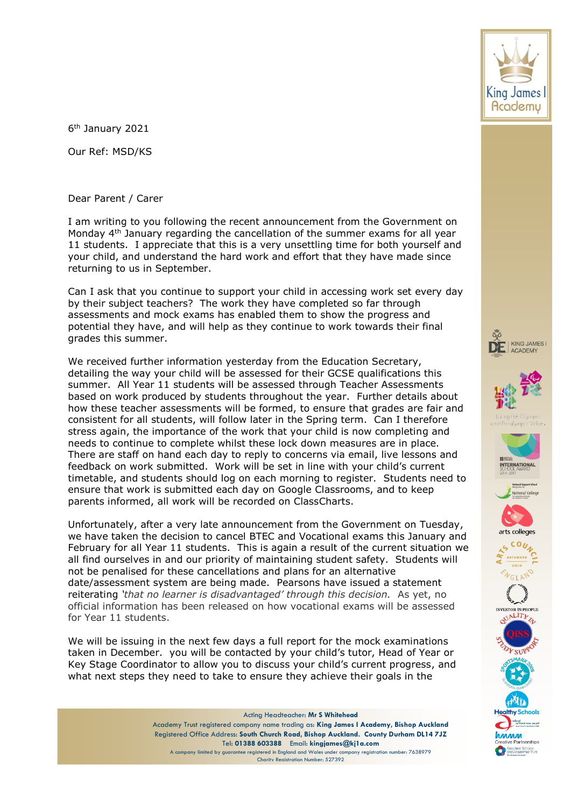6<sup>th</sup> January 2021

Our Ref: MSD/KS

Dear Parent / Carer

I am writing to you following the recent announcement from the Government on Monday 4th January regarding the cancellation of the summer exams for all year 11 students. I appreciate that this is a very unsettling time for both yourself and your child, and understand the hard work and effort that they have made since returning to us in September.

Can I ask that you continue to support your child in accessing work set every day by their subject teachers? The work they have completed so far through assessments and mock exams has enabled them to show the progress and potential they have, and will help as they continue to work towards their final grades this summer.

We received further information yesterday from the Education Secretary, detailing the way your child will be assessed for their GCSE qualifications this summer. All Year 11 students will be assessed through Teacher Assessments based on work produced by students throughout the year. Further details about how these teacher assessments will be formed, to ensure that grades are fair and consistent for all students, will follow later in the Spring term. Can I therefore stress again, the importance of the work that your child is now completing and needs to continue to complete whilst these lock down measures are in place. There are staff on hand each day to reply to concerns via email, live lessons and feedback on work submitted. Work will be set in line with your child's current timetable, and students should log on each morning to register. Students need to ensure that work is submitted each day on Google Classrooms, and to keep parents informed, all work will be recorded on ClassCharts.

Unfortunately, after a very late announcement from the Government on Tuesday, we have taken the decision to cancel BTEC and Vocational exams this January and February for all Year 11 students. This is again a result of the current situation we all find ourselves in and our priority of maintaining student safety. Students will not be penalised for these cancellations and plans for an alternative date/assessment system are being made. Pearsons have issued a statement reiterating *'that no learner is disadvantaged' through this decision.* As yet, no official information has been released on how vocational exams will be assessed for Year 11 students.

We will be issuing in the next few days a full report for the mock examinations taken in December. you will be contacted by your child's tutor, Head of Year or Key Stage Coordinator to allow you to discuss your child's current progress, and what next steps they need to take to ensure they achieve their goals in the

> Acting Headteacher: **Mr S Whitehead** Academy Trust registered company name trading as: **King James I Academy, Bishop Auckland** Registered Office Address: **South Church Road, Bishop Auckland. County Durham DL14 7JZ** Tel: **01388 603388** Email: **kingjames@kj1a.com** A company limited by guarantee registered in England and Wales under company registration number: 7638979 Charity Registration Number: 527392

















pecialist Schools<br>nd Academies Trus